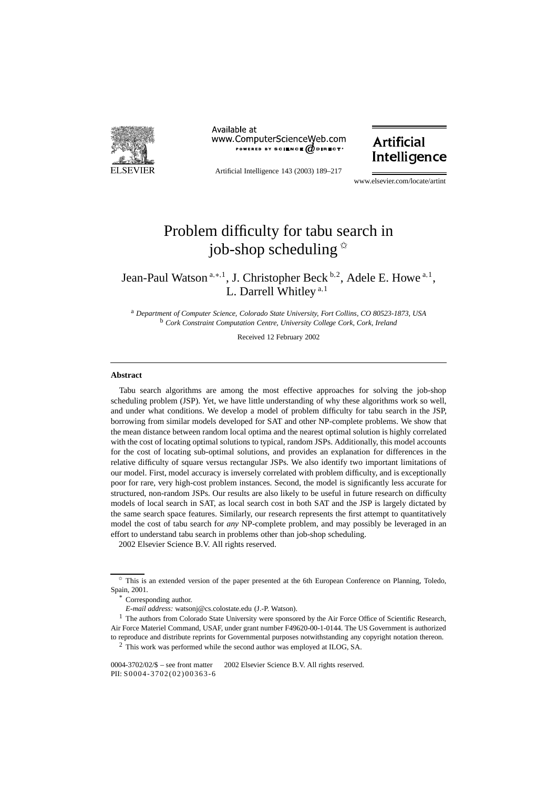

Available at www.ComputerScienceWeb.com POWERED BY SCIENCE @DIRECT<sup>®</sup>

Artificial Intelligence 143 (2003) 189–217

### **Artificial** Intelligence

www.elsevier.com/locate/artint

## Problem difficulty for tabu search in job-shop scheduling  $\dot{x}$

### Jean-Paul Watson<sup>a,∗,1</sup>, J. Christopher Beck <sup>b,2</sup>, Adele E. Howe<sup>a,1</sup>, L. Darrell Whitley <sup>a</sup>*,*<sup>1</sup>

<sup>a</sup> *Department of Computer Science, Colorado State University, Fort Collins, CO 80523-1873, USA* <sup>b</sup> *Cork Constraint Computation Centre, University College Cork, Cork, Ireland*

Received 12 February 2002

#### **Abstract**

Tabu search algorithms are among the most effective approaches for solving the job-shop scheduling problem (JSP). Yet, we have little understanding of why these algorithms work so well, and under what conditions. We develop a model of problem difficulty for tabu search in the JSP, borrowing from similar models developed for SAT and other NP-complete problems. We show that the mean distance between random local optima and the nearest optimal solution is highly correlated with the cost of locating optimal solutions to typical, random JSPs. Additionally, this model accounts for the cost of locating sub-optimal solutions, and provides an explanation for differences in the relative difficulty of square versus rectangular JSPs. We also identify two important limitations of our model. First, model accuracy is inversely correlated with problem difficulty, and is exceptionally poor for rare, very high-cost problem instances. Second, the model is significantly less accurate for structured, non-random JSPs. Our results are also likely to be useful in future research on difficulty models of local search in SAT, as local search cost in both SAT and the JSP is largely dictated by the same search space features. Similarly, our research represents the first attempt to quantitatively model the cost of tabu search for *any* NP-complete problem, and may possibly be leveraged in an effort to understand tabu search in problems other than job-shop scheduling. 2002 Elsevier Science B.V. All rights reserved.

 $\hat{\tau}$  This is an extended version of the paper presented at the 6th European Conference on Planning, Toledo, Spain, 2001.

Corresponding author.

*E-mail address:* watsonj@cs.colostate.edu (J.-P. Watson).

<sup>&</sup>lt;sup>1</sup> The authors from Colorado State University were sponsored by the Air Force Office of Scientific Research, Air Force Materiel Command, USAF, under grant number F49620-00-1-0144. The US Government is authorized to reproduce and distribute reprints for Governmental purposes notwithstanding any copyright notation thereon.

 $2$  This work was performed while the second author was employed at ILOG, SA.

 $0004-3702/02\%$  – see front matter  $\odot$  2002 Elsevier Science B.V. All rights reserved. PII: S0004-3702(02)00363-6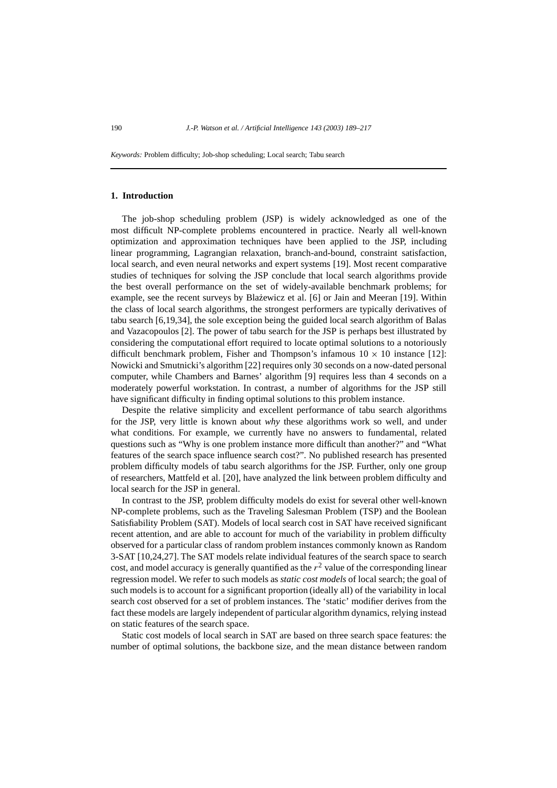*Keywords:* Problem difficulty; Job-shop scheduling; Local search; Tabu search

#### **1. Introduction**

The job-shop scheduling problem (JSP) is widely acknowledged as one of the most difficult NP-complete problems encountered in practice. Nearly all well-known optimization and approximation techniques have been applied to the JSP, including linear programming, Lagrangian relaxation, branch-and-bound, constraint satisfaction, local search, and even neural networks and expert systems [19]. Most recent comparative studies of techniques for solving the JSP conclude that local search algorithms provide the best overall performance on the set of widely-available benchmark problems; for example, see the recent surveys by Blażewicz et al. [6] or Jain and Meeran [19]. Within the class of local search algorithms, the strongest performers are typically derivatives of tabu search [6,19,34], the sole exception being the guided local search algorithm of Balas and Vazacopoulos [2]. The power of tabu search for the JSP is perhaps best illustrated by considering the computational effort required to locate optimal solutions to a notoriously difficult benchmark problem, Fisher and Thompson's infamous  $10 \times 10$  instance [12]: Nowicki and Smutnicki's algorithm [22] requires only 30 seconds on a now-dated personal computer, while Chambers and Barnes' algorithm [9] requires less than 4 seconds on a moderately powerful workstation. In contrast, a number of algorithms for the JSP still have significant difficulty in finding optimal solutions to this problem instance.

Despite the relative simplicity and excellent performance of tabu search algorithms for the JSP, very little is known about *why* these algorithms work so well, and under what conditions. For example, we currently have no answers to fundamental, related questions such as "Why is one problem instance more difficult than another?" and "What features of the search space influence search cost?". No published research has presented problem difficulty models of tabu search algorithms for the JSP. Further, only one group of researchers, Mattfeld et al. [20], have analyzed the link between problem difficulty and local search for the JSP in general.

In contrast to the JSP, problem difficulty models do exist for several other well-known NP-complete problems, such as the Traveling Salesman Problem (TSP) and the Boolean Satisfiability Problem (SAT). Models of local search cost in SAT have received significant recent attention, and are able to account for much of the variability in problem difficulty observed for a particular class of random problem instances commonly known as Random 3-SAT [10,24,27]. The SAT models relate individual features of the search space to search cost, and model accuracy is generally quantified as the  $r<sup>2</sup>$  value of the corresponding linear regression model. We refer to such models as *static cost models* of local search; the goal of such models is to account for a significant proportion (ideally all) of the variability in local search cost observed for a set of problem instances. The 'static' modifier derives from the fact these models are largely independent of particular algorithm dynamics, relying instead on static features of the search space.

Static cost models of local search in SAT are based on three search space features: the number of optimal solutions, the backbone size, and the mean distance between random